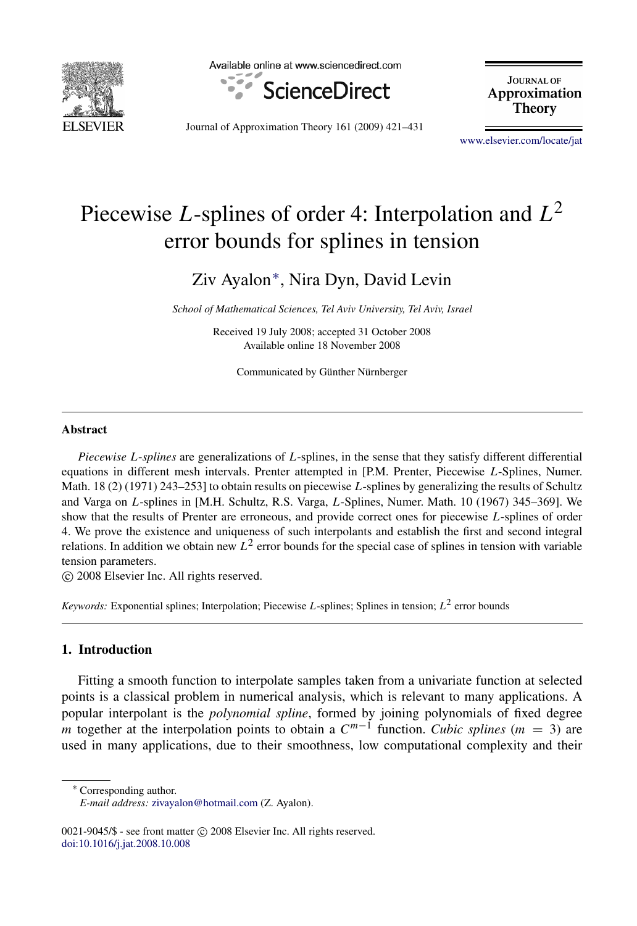

Available online at www.sciencedirect.com



**JOURNAL OF** Approximation **Theory** 

Journal of Approximation Theory 161 (2009) 421–431

[www.elsevier.com/locate/jat](http://www.elsevier.com/locate/jat)

# Piecewise *L*-splines of order 4: Interpolation and *L* 2 error bounds for splines in tension

Ziv Ayalon[∗](#page-0-0) , Nira Dyn, David Levin

*School of Mathematical Sciences, Tel Aviv University, Tel Aviv, Israel*

Received 19 July 2008; accepted 31 October 2008 Available online 18 November 2008

Communicated by Günther Nürnberger

#### Abstract

*Piecewise L*-*splines* are generalizations of *L*-splines, in the sense that they satisfy different differential equations in different mesh intervals. Prenter attempted in [P.M. Prenter, Piecewise *L*-Splines, Numer. Math. 18 (2) (1971) 243–253] to obtain results on piecewise *L*-splines by generalizing the results of Schultz and Varga on *L*-splines in [M.H. Schultz, R.S. Varga, *L*-Splines, Numer. Math. 10 (1967) 345–369]. We show that the results of Prenter are erroneous, and provide correct ones for piecewise *L*-splines of order 4. We prove the existence and uniqueness of such interpolants and establish the first and second integral relations. In addition we obtain new *L* 2 error bounds for the special case of splines in tension with variable tension parameters.

c 2008 Elsevier Inc. All rights reserved.

*Keywords:* Exponential splines; Interpolation; Piecewise *L*-splines; Splines in tension; *L* 2 error bounds

## 1. Introduction

Fitting a smooth function to interpolate samples taken from a univariate function at selected points is a classical problem in numerical analysis, which is relevant to many applications. A popular interpolant is the *polynomial spline*, formed by joining polynomials of fixed degree *m* together at the interpolation points to obtain a  $C^{m-1}$  function. *Cubic splines* (*m* = 3) are used in many applications, due to their smoothness, low computational complexity and their

<span id="page-0-0"></span><sup>∗</sup> Corresponding author. *E-mail address:* [zivayalon@hotmail.com](mailto:zivayalon@hotmail.com) (Z. Ayalon).

<sup>0021-9045/\$ -</sup> see front matter (c) 2008 Elsevier Inc. All rights reserved. [doi:10.1016/j.jat.2008.10.008](http://dx.doi.org/10.1016/j.jat.2008.10.008)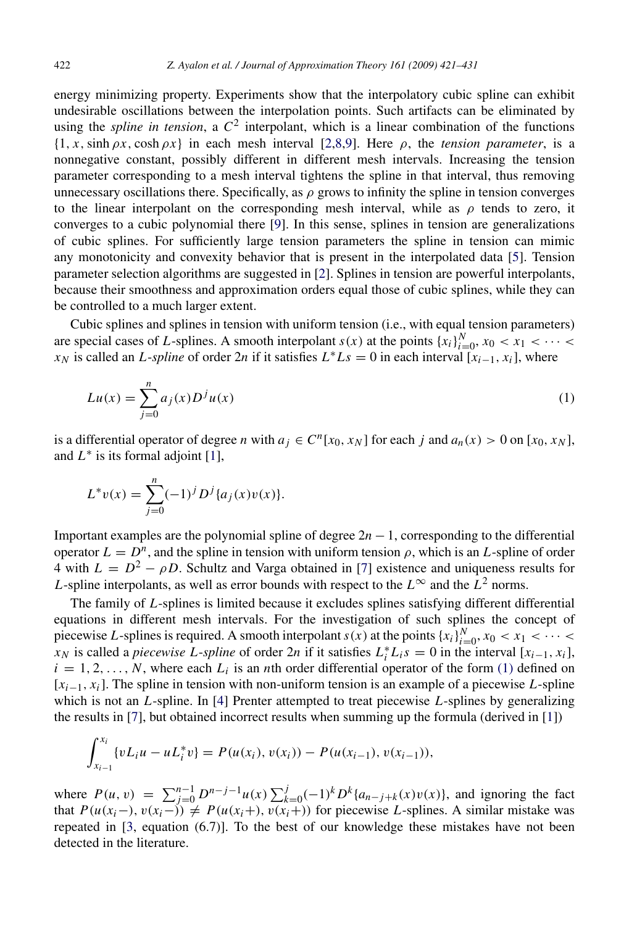energy minimizing property. Experiments show that the interpolatory cubic spline can exhibit undesirable oscillations between the interpolation points. Such artifacts can be eliminated by using the *spline in tension*, a  $C^2$  interpolant, which is a linear combination of the functions  $\{1, x, \sinh \rho x, \cosh \rho x\}$  in each mesh interval [\[2](#page-10-0)[,8](#page-10-1)[,9\]](#page-10-2). Here  $\rho$ , the *tension parameter*, is a nonnegative constant, possibly different in different mesh intervals. Increasing the tension parameter corresponding to a mesh interval tightens the spline in that interval, thus removing unnecessary oscillations there. Specifically, as  $\rho$  grows to infinity the spline in tension converges to the linear interpolant on the corresponding mesh interval, while as  $\rho$  tends to zero, it converges to a cubic polynomial there [\[9\]](#page-10-2). In this sense, splines in tension are generalizations of cubic splines. For sufficiently large tension parameters the spline in tension can mimic any monotonicity and convexity behavior that is present in the interpolated data [\[5\]](#page-10-3). Tension parameter selection algorithms are suggested in [\[2\]](#page-10-0). Splines in tension are powerful interpolants, because their smoothness and approximation orders equal those of cubic splines, while they can be controlled to a much larger extent.

Cubic splines and splines in tension with uniform tension (i.e., with equal tension parameters) are special cases of *L*-splines. A smooth interpolant *s*(*x*) at the points  $\{x_i\}_{i=0}^N$ ,  $x_0 < x_1 < \cdots <$  $x_N$  is called an *L*-*spline* of order 2*n* if it satisfies  $L^*Ls = 0$  in each interval  $[x_{i-1}, x_i]$ , where

<span id="page-1-0"></span>
$$
Lu(x) = \sum_{j=0}^{n} a_j(x) D^{j} u(x)
$$
 (1)

is a differential operator of degree *n* with  $a_j \in C^n[x_0, x_N]$  for each *j* and  $a_n(x) > 0$  on  $[x_0, x_N]$ , and  $L^*$  is its formal adjoint [\[1\]](#page-10-4),

$$
L^*v(x) = \sum_{j=0}^n (-1)^j D^j \{a_j(x)v(x)\}.
$$

Important examples are the polynomial spline of degree 2*n* − 1, corresponding to the differential operator  $L = D<sup>n</sup>$ , and the spline in tension with uniform tension  $\rho$ , which is an *L*-spline of order 4 with  $L = D^2 - \rho D$ . Schultz and Varga obtained in [\[7\]](#page-10-5) existence and uniqueness results for *L*-spline interpolants, as well as error bounds with respect to the  $L^{\infty}$  and the  $\overline{L}^2$  norms.

The family of *L*-splines is limited because it excludes splines satisfying different differential equations in different mesh intervals. For the investigation of such splines the concept of piecewise *L*-splines is required. A smooth interpolant *s*(*x*) at the points  ${x_i}_{i=0}^N, x_0 < x_1 < \cdots <$  $\sum_{i=1}^{n} X_i$  is called a *piecewise L*-*spline* of order 2*n* if it satisfies  $L_i^* L_i s = 0$  in the interval  $[x_{i-1}, x_i]$ ,  $i = 1, 2, \ldots, N$ , where each  $L_i$  is an *n*th order differential operator of the form [\(1\)](#page-1-0) defined on [*xi*−1, *xi*]. The spline in tension with non-uniform tension is an example of a piecewise *L*-spline which is not an *L*-spline. In [\[4\]](#page-10-6) Prenter attempted to treat piecewise *L*-splines by generalizing the results in [\[7\]](#page-10-5), but obtained incorrect results when summing up the formula (derived in [\[1\]](#page-10-4))

$$
\int_{x_{i-1}}^{x_i} \{vL_iu - uL_i^*v\} = P(u(x_i), v(x_i)) - P(u(x_{i-1}), v(x_{i-1})),
$$

where  $P(u, v) = \sum_{j=0}^{n-1} D^{n-j-1}u(x) \sum_{k=0}^{j} (-1)^k D^k \{a_{n-j+k}(x)v(x)\}$ , and ignoring the fact that  $P(u(x_i-), v(x_i-)) ≠ P(u(x_i+), v(x_i+))$  for piecewise *L*-splines. A similar mistake was repeated in [\[3,](#page-10-7) equation (6.7)]. To the best of our knowledge these mistakes have not been detected in the literature.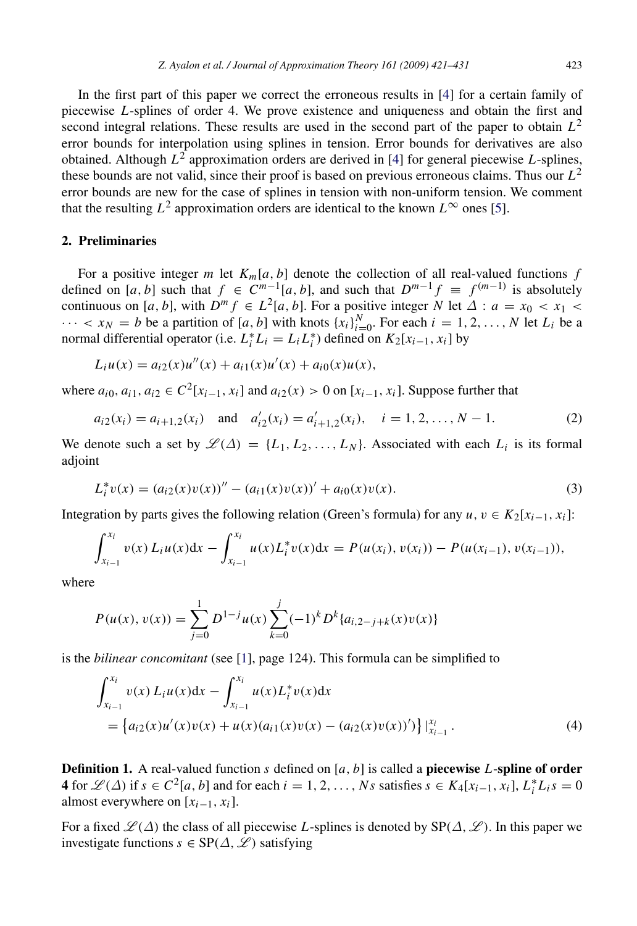In the first part of this paper we correct the erroneous results in [\[4\]](#page-10-6) for a certain family of piecewise *L*-splines of order 4. We prove existence and uniqueness and obtain the first and second integral relations. These results are used in the second part of the paper to obtain *L* 2 error bounds for interpolation using splines in tension. Error bounds for derivatives are also obtained. Although *L* 2 approximation orders are derived in [\[4\]](#page-10-6) for general piecewise *L*-splines, these bounds are not valid, since their proof is based on previous erroneous claims. Thus our *L* 2 error bounds are new for the case of splines in tension with non-uniform tension. We comment that the resulting  $L^2$  approximation orders are identical to the known  $L^\infty$  ones [\[5\]](#page-10-3).

## 2. Preliminaries

For a positive integer *m* let  $K_m[a, b]$  denote the collection of all real-valued functions *f* defined on [*a*, *b*] such that  $f \in C^{m-1}[a, b]$ , and such that  $D^{m-1}f \equiv f^{(m-1)}$  is absolutely continuous on [*a*, *b*], with  $D^m f \in L^2[a, b]$ . For a positive integer *N* let  $\Delta : a = x_0 < x_1 <$  $\cdots < x_N = b$  be a partition of [*a*, *b*] with knots  $\{x_i\}_{i=0}^N$ . For each  $i = 1, 2, \ldots, N$  let  $L_i$  be a normal differential operator (i.e.  $L_i^* L_i = L_i L_i^*$ ) defined on  $K_2[x_{i-1}, x_i]$  by

$$
L_i u(x) = a_{i2}(x)u''(x) + a_{i1}(x)u'(x) + a_{i0}(x)u(x),
$$

where *a*<sub>*i*0</sub>, *a*<sub>*i*1</sub>, *a*<sub>*i*2</sub> ∈ *C*<sup>2</sup>[ $x$ <sub>*i*−1</sub>,  $x$ <sub>*i*</sub>] and *a*<sub>*i*2</sub>( $x$ ) > 0 on [ $x$ <sub>*i*−1</sub>,  $x$ <sub>*i*</sub>]. Suppose further that

<span id="page-2-2"></span>
$$
a_{i2}(x_i) = a_{i+1,2}(x_i)
$$
 and  $a'_{i2}(x_i) = a'_{i+1,2}(x_i)$ ,  $i = 1, 2, ..., N - 1$ . (2)

We denote such a set by  $\mathscr{L}(\Delta) = \{L_1, L_2, \ldots, L_N\}$ . Associated with each  $L_i$  is its formal adjoint

<span id="page-2-1"></span>
$$
L_i^* v(x) = (a_{i2}(x)v(x))'' - (a_{i1}(x)v(x))' + a_{i0}(x)v(x).
$$
\n(3)

Integration by parts gives the following relation (Green's formula) for any  $u, v \in K_2[x_{i-1}, x_i]$ :

$$
\int_{x_{i-1}}^{x_i} v(x) L_i u(x) dx - \int_{x_{i-1}}^{x_i} u(x) L_i^* v(x) dx = P(u(x_i), v(x_i)) - P(u(x_{i-1}), v(x_{i-1})),
$$

where

$$
P(u(x), v(x)) = \sum_{j=0}^{1} D^{1-j} u(x) \sum_{k=0}^{j} (-1)^{k} D^{k} \{a_{i,2-j+k}(x)v(x)\}
$$

is the *bilinear concomitant* (see [\[1\]](#page-10-4), page 124). This formula can be simplified to

<span id="page-2-0"></span>
$$
\int_{x_{i-1}}^{x_i} v(x) L_i u(x) dx - \int_{x_{i-1}}^{x_i} u(x) L_i^* v(x) dx
$$
  
=  $\{a_{i2}(x)u'(x)v(x) + u(x)(a_{i1}(x)v(x) - (a_{i2}(x)v(x))')\} |_{x_{i-1}}^{x_i}.$  (4)

Definition 1. A real-valued function *s* defined on [*a*, *b*] is called a piecewise *L*-spline of order 4 for  $\mathcal{L}(\Delta)$  if  $s \in C^2[a, b]$  and for each  $i = 1, 2, ..., Ns$  satisfies  $s \in K_4[x_{i-1}, x_i], L_i^*L_i s = 0$ almost everywhere on  $[x_{i-1}, x_i]$ .

For a fixed  $\mathcal{L}(\Delta)$  the class of all piecewise *L*-splines is denoted by  $SP(\Delta, \mathcal{L})$ . In this paper we investigate functions  $s \in SP(\Delta, \mathcal{L})$  satisfying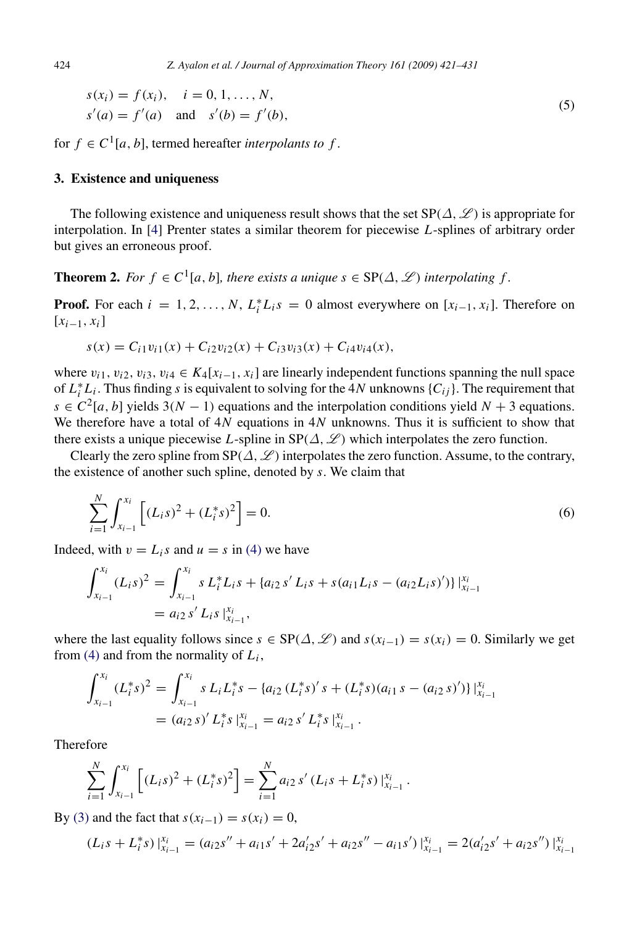$$
s(xi) = f(xi), i = 0, 1, ..., N,s'(a) = f'(a) \text{ and } s'(b) = f'(b),
$$
\n(5)

for  $f \in C^1[a, b]$ , termed hereafter *interpolants to*  $f$ .

#### 3. Existence and uniqueness

The following existence and uniqueness result shows that the set  $SP(\Delta, \mathscr{L})$  is appropriate for interpolation. In [\[4\]](#page-10-6) Prenter states a similar theorem for piecewise *L*-splines of arbitrary order but gives an erroneous proof.

**Theorem 2.** *For*  $f \in C^1[a, b]$ *, there exists a unique*  $s \in SP(\Delta, \mathcal{L})$  *interpolating*  $f$ *.* 

**Proof.** For each  $i = 1, 2, ..., N$ ,  $L_i^* L_i s = 0$  almost everywhere on  $[x_{i-1}, x_i]$ . Therefore on [*xi*−1, *xi*]

$$
s(x) = C_{i1}v_{i1}(x) + C_{i2}v_{i2}(x) + C_{i3}v_{i3}(x) + C_{i4}v_{i4}(x),
$$

where  $v_{i1}$ ,  $v_{i2}$ ,  $v_{i3}$ ,  $v_{i4} \in K_4[x_{i-1}, x_i]$  are linearly independent functions spanning the null space of  $L_i^* L_i$ . Thus finding *s* is equivalent to solving for the 4*N* unknowns  $\{C_{ij}\}$ . The requirement that  $s \in C^2[a, b]$  yields 3(*N* − 1) equations and the interpolation conditions yield *N* + 3 equations. We therefore have a total of 4*N* equations in 4*N* unknowns. Thus it is sufficient to show that there exists a unique piecewise *L*-spline in  $SP(\Delta, \mathscr{L})$  which interpolates the zero function.

Clearly the zero spline from SP( $\Delta$ ,  $\mathscr{L}$ ) interpolates the zero function. Assume, to the contrary, the existence of another such spline, denoted by *s*. We claim that

<span id="page-3-0"></span>
$$
\sum_{i=1}^{N} \int_{x_{i-1}}^{x_i} \left[ (L_i s)^2 + (L_i^* s)^2 \right] = 0.
$$
 (6)

Indeed, with  $v = L_i s$  and  $u = s$  in [\(4\)](#page-2-0) we have

$$
\int_{x_{i-1}}^{x_i} (L_i s)^2 = \int_{x_{i-1}}^{x_i} s L_i^* L_i s + \{a_{i2} s' L_i s + s (a_{i1} L_i s - (a_{i2} L_i s)')\}|_{x_{i-1}}^{x_i}
$$
  
=  $a_{i2} s' L_i s |_{x_{i-1}}^{x_i}$ ,

where the last equality follows since  $s \in SP(\Delta, \mathcal{L})$  and  $s(x_{i-1}) = s(x_i) = 0$ . Similarly we get from [\(4\)](#page-2-0) and from the normality of  $L_i$ ,

$$
\int_{x_{i-1}}^{x_i} (L_i^* s)^2 = \int_{x_{i-1}}^{x_i} s L_i L_i^* s - \{a_{i2} (L_i^* s)' s + (L_i^* s) (a_{i1} s - (a_{i2} s)')\} \|_{x_{i-1}}^{x_i}
$$
  
=  $(a_{i2} s)' L_i^* s \|_{x_{i-1}}^{x_i} = a_{i2} s' L_i^* s \|_{x_{i-1}}^{x_i}.$ 

Therefore

$$
\sum_{i=1}^N \int_{x_{i-1}}^{x_i} \left[ (L_i s)^2 + (L_i^* s)^2 \right] = \sum_{i=1}^N a_{i2} s' (L_i s + L_i^* s) \Big|_{x_{i-1}}^{x_i}.
$$

By [\(3\)](#page-2-1) and the fact that  $s(x_{i-1}) = s(x_i) = 0$ ,

$$
(L_i s + L_i^* s) |_{x_{i-1}}^{x_i} = (a_{i2} s'' + a_{i1} s' + 2a'_{i2} s' + a_{i2} s'' - a_{i1} s') |_{x_{i-1}}^{x_i} = 2(a'_{i2} s' + a_{i2} s'') |_{x_{i-1}}^{x_i}
$$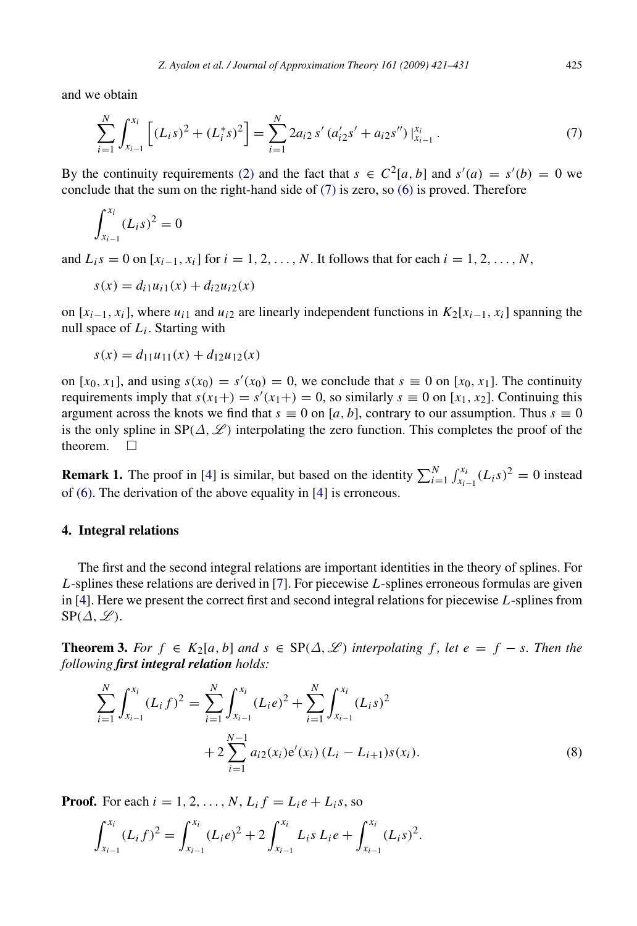and we obtain

<span id="page-4-0"></span>
$$
\sum_{i=1}^{N} \int_{x_{i-1}}^{x_i} \left[ (L_i s)^2 + (L_i^* s)^2 \right] = \sum_{i=1}^{N} 2a_{i2} s' \left( a'_{i2} s' + a_{i2} s'' \right) \Big|_{x_{i-1}}^{x_i} . \tag{7}
$$

By the continuity requirements [\(2\)](#page-2-2) and the fact that  $s \in C^2[a, b]$  and  $s'(a) = s'(b) = 0$  we conclude that the sum on the right-hand side of [\(7\)](#page-4-0) is zero, so [\(6\)](#page-3-0) is proved. Therefore

$$
\int_{x_{i-1}}^{x_i} (L_i s)^2 = 0
$$

and  $L_i s = 0$  on  $[x_{i-1}, x_i]$  for  $i = 1, 2, ..., N$ . It follows that for each  $i = 1, 2, ..., N$ ,

$$
s(x) = d_{i1}u_{i1}(x) + d_{i2}u_{i2}(x)
$$

on  $[x_{i-1}, x_i]$ , where  $u_{i1}$  and  $u_{i2}$  are linearly independent functions in  $K_2[x_{i-1}, x_i]$  spanning the null space of *L<sup>i</sup>* . Starting with

$$
s(x) = d_{11}u_{11}(x) + d_{12}u_{12}(x)
$$

on  $[x_0, x_1]$ , and using  $s(x_0) = s'(x_0) = 0$ , we conclude that  $s \equiv 0$  on  $[x_0, x_1]$ . The continuity requirements imply that  $s(x_1+) = s'(x_1+) = 0$ , so similarly  $s \equiv 0$  on [ $x_1, x_2$ ]. Continuing this argument across the knots we find that  $s \equiv 0$  on [*a*, *b*], contrary to our assumption. Thus  $s \equiv 0$ is the only spline in  $\text{SP}(\Delta, \mathscr{L})$  interpolating the zero function. This completes the proof of the theorem.  $\Box$ 

**Remark 1.** The proof in [\[4\]](#page-10-6) is similar, but based on the identity  $\sum_{i=1}^{N} \int_{x_{i-1}}^{x_i} (L_i s)^2 = 0$  instead of [\(6\).](#page-3-0) The derivation of the above equality in [\[4\]](#page-10-6) is erroneous.

#### 4. Integral relations

The first and the second integral relations are important identities in the theory of splines. For *L*-splines these relations are derived in [\[7\]](#page-10-5). For piecewise *L*-splines erroneous formulas are given in [\[4\]](#page-10-6). Here we present the correct first and second integral relations for piecewise *L*-splines from  $SP(\Delta, \mathscr{L}).$ 

**Theorem 3.** For  $f \in K_2[a, b]$  and  $s \in \text{SP}(\Delta, \mathcal{L})$  interpolating f, let  $e = f - s$ . Then the *following first integral relation holds:*

<span id="page-4-1"></span>
$$
\sum_{i=1}^{N} \int_{x_{i-1}}^{x_i} (L_i f)^2 = \sum_{i=1}^{N} \int_{x_{i-1}}^{x_i} (L_i e)^2 + \sum_{i=1}^{N} \int_{x_{i-1}}^{x_i} (L_i s)^2 + 2 \sum_{i=1}^{N-1} a_{i2}(x_i) e'(x_i) (L_i - L_{i+1}) s(x_i).
$$
\n(8)

**Proof.** For each  $i = 1, 2, ..., N$ ,  $L_i f = L_i e + L_i s$ , so

$$
\int_{x_{i-1}}^{x_i} (L_i f)^2 = \int_{x_{i-1}}^{x_i} (L_i e)^2 + 2 \int_{x_{i-1}}^{x_i} L_i s L_i e + \int_{x_{i-1}}^{x_i} (L_i s)^2.
$$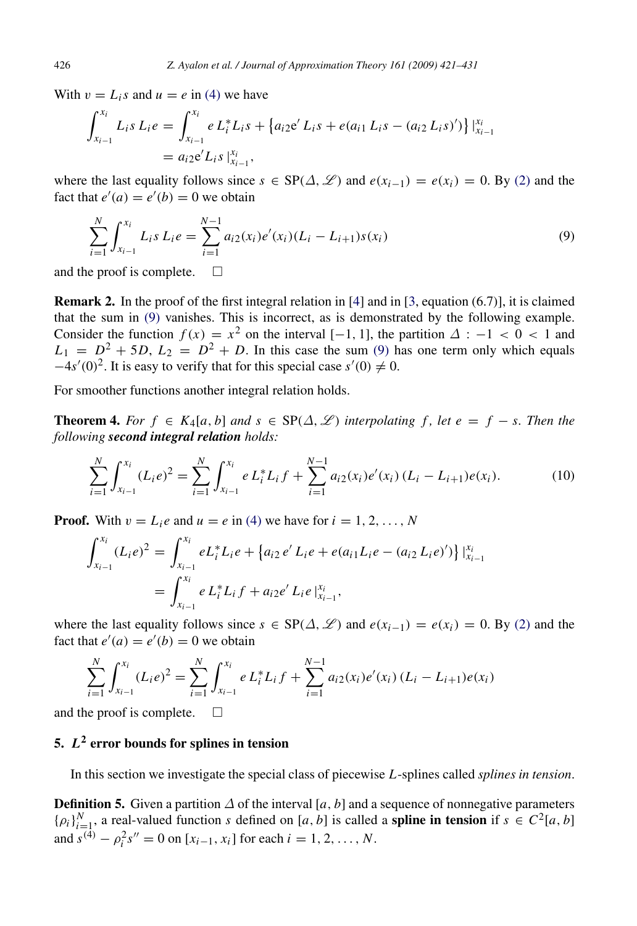With  $v = L_i s$  and  $u = e$  in [\(4\)](#page-2-0) we have

$$
\int_{x_{i-1}}^{x_i} L_i s \, L_i e = \int_{x_{i-1}}^{x_i} e \, L_i^* L_i s + \left\{ a_{i2} e' \, L_i s + e(a_{i1} \, L_i s - (a_{i2} \, L_i s)') \right\} \Big|_{x_{i-1}}^{x_i}
$$
\n
$$
= a_{i2} e' L_i s \Big|_{x_{i-1}}^{x_i},
$$

where the last equality follows since  $s \in SP(\Delta, \mathscr{L})$  and  $e(x_{i-1}) = e(x_i) = 0$ . By [\(2\)](#page-2-2) and the fact that  $e'(a) = e'(b) = 0$  we obtain

<span id="page-5-0"></span>
$$
\sum_{i=1}^{N} \int_{x_{i-1}}^{x_i} L_i s L_i e = \sum_{i=1}^{N-1} a_{i2}(x_i) e'(x_i) (L_i - L_{i+1}) s(x_i)
$$
\n(9)

and the proof is complete.  $\Box$ 

**Remark 2.** In the proof of the first integral relation in [\[4\]](#page-10-6) and in [\[3,](#page-10-7) equation  $(6.7)$ ], it is claimed that the sum in [\(9\)](#page-5-0) vanishes. This is incorrect, as is demonstrated by the following example. Consider the function  $f(x) = x^2$  on the interval [−1, 1], the partition  $\Delta : -1 < 0 < 1$  and  $L_1 = D^2 + 5D$ ,  $L_2 = D^2 + D$ . In this case the sum [\(9\)](#page-5-0) has one term only which equals  $-4s'(0)^2$ . It is easy to verify that for this special case  $s'(0) \neq 0$ .

For smoother functions another integral relation holds.

**Theorem 4.** For  $f \in K_4[a, b]$  and  $s \in \text{SP}(\Delta, \mathcal{L})$  interpolating f, let  $e = f - s$ . Then the *following second integral relation holds:*

<span id="page-5-1"></span>
$$
\sum_{i=1}^{N} \int_{x_{i-1}}^{x_i} (L_i e)^2 = \sum_{i=1}^{N} \int_{x_{i-1}}^{x_i} e L_i^* L_i f + \sum_{i=1}^{N-1} a_{i2}(x_i) e'(x_i) (L_i - L_{i+1}) e(x_i).
$$
 (10)

**Proof.** With  $v = L_i e$  and  $u = e$  in [\(4\)](#page-2-0) we have for  $i = 1, 2, ..., N$ 

$$
\int_{x_{i-1}}^{x_i} (L_i e)^2 = \int_{x_{i-1}}^{x_i} e L_i^* L_i e + \{a_{i2} e' L_i e + e(a_{i1} L_i e - (a_{i2} L_i e)')\} \Big|_{x_{i-1}}^{x_i}
$$
  
= 
$$
\int_{x_{i-1}}^{x_i} e L_i^* L_i f + a_{i2} e' L_i e \Big|_{x_{i-1}}^{x_i},
$$

where the last equality follows since  $s \in SP(\Delta, \mathscr{L})$  and  $e(x_{i-1}) = e(x_i) = 0$ . By [\(2\)](#page-2-2) and the fact that  $e'(a) = e'(b) = 0$  we obtain

$$
\sum_{i=1}^{N} \int_{x_{i-1}}^{x_i} (L_i e)^2 = \sum_{i=1}^{N} \int_{x_{i-1}}^{x_i} e L_i^* L_i f + \sum_{i=1}^{N-1} a_{i2}(x_i) e'(x_i) (L_i - L_{i+1}) e(x_i)
$$

and the proof is complete.  $\square$ 

# 5. *L* 2 error bounds for splines in tension

In this section we investigate the special class of piecewise *L*-splines called *splines in tension*.

**Definition 5.** Given a partition  $\Delta$  of the interval [ $a$ ,  $b$ ] and a sequence of nonnegative parameters  $\{\rho_i\}_{i=1}^N$ , a real-valued function *s* defined on [*a*, *b*] is called a **spline in tension** if  $s \in C^2[a, b]$ and  $s^{(4)} - \rho_i^2 s'' = 0$  on  $[x_{i-1}, x_i]$  for each  $i = 1, 2, ..., N$ .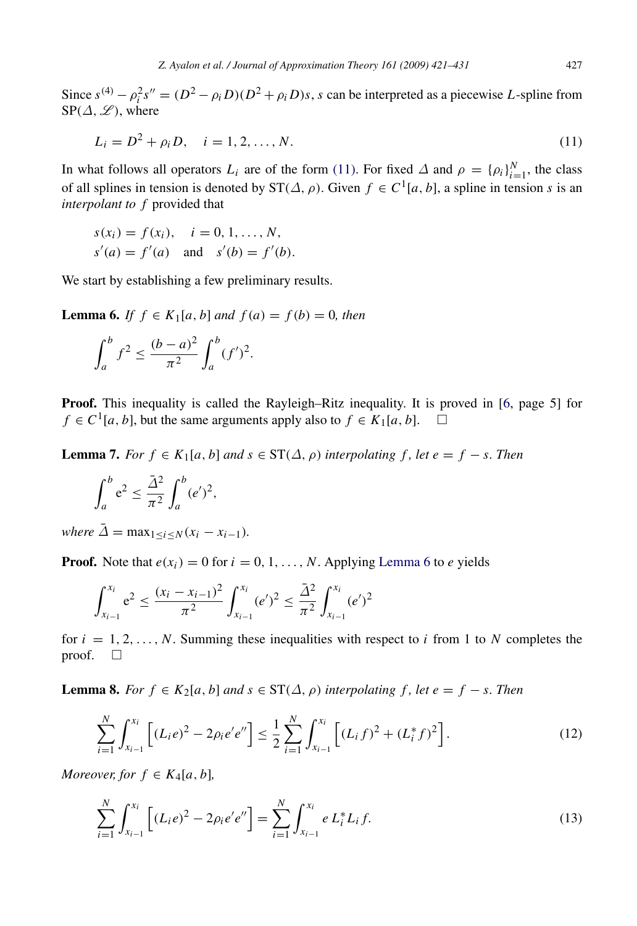Since  $s^{(4)} - \rho_i^2 s'' = (D^2 - \rho_i D)(D^2 + \rho_i D)s$ , *s* can be interpreted as a piecewise *L*-spline from  $SP(\Delta, \mathcal{L})$ , where

<span id="page-6-0"></span>
$$
L_i = D^2 + \rho_i D, \quad i = 1, 2, ..., N. \tag{11}
$$

In what follows all operators  $L_i$  are of the form [\(11\).](#page-6-0) For fixed  $\Delta$  and  $\rho = {\rho_i}_{i=1}^N$ , the class of all splines in tension is denoted by  $ST(\Delta, \rho)$ . Given  $f \in C^1[a, b]$ , a spline in tension *s* is an *interpolant to f* provided that

$$
s(x_i) = f(x_i), \quad i = 0, 1, ..., N,
$$
  
\n $s'(a) = f'(a) \quad \text{and} \quad s'(b) = f'(b).$ 

We start by establishing a few preliminary results.

**Lemma 6.** *If*  $f \text{ ∈ } K_1[a, b]$  *and*  $f(a) = f(b) = 0$ *, then* 

<span id="page-6-1"></span>
$$
\int_{a}^{b} f^{2} \le \frac{(b-a)^{2}}{\pi^{2}} \int_{a}^{b} (f')^{2}.
$$

Proof. This inequality is called the Rayleigh–Ritz inequality. It is proved in [\[6,](#page-10-8) page 5] for  $f \in C^1[a, b]$ , but the same arguments apply also to  $f \in K_1[a, b]$ .  $\square$ 

**Lemma 7.** *For*  $f \in K_1[a, b]$  *and*  $s \in ST(\Delta, \rho)$  *interpolating*  $f$ *, let*  $e = f - s$ *. Then* 

<span id="page-6-4"></span>
$$
\int_a^b e^2 \leq \frac{\bar{\Delta}^2}{\pi^2} \int_a^b (e')^2,
$$

*where*  $\bar{\Delta} = \max_{1 \le i \le N} (x_i - x_{i-1}).$ 

**Proof.** Note that  $e(x_i) = 0$  for  $i = 0, 1, ..., N$ . Applying [Lemma 6](#page-6-1) to *e* yields

$$
\int_{x_{i-1}}^{x_i} e^2 \le \frac{(x_i - x_{i-1})^2}{\pi^2} \int_{x_{i-1}}^{x_i} (e')^2 \le \frac{\bar{\Delta}^2}{\pi^2} \int_{x_{i-1}}^{x_i} (e')^2
$$

for  $i = 1, 2, \ldots, N$ . Summing these inequalities with respect to *i* from 1 to *N* completes the proof.  $\square$ 

**Lemma 8.** *For*  $f \in K_2[a, b]$  *and*  $s \in ST(\Delta, \rho)$  *interpolating*  $f$ *, let*  $e = f - s$ *. Then* 

<span id="page-6-2"></span>
$$
\sum_{i=1}^{N} \int_{x_{i-1}}^{x_i} \left[ (L_i e)^2 - 2\rho_i e' e'' \right] \le \frac{1}{2} \sum_{i=1}^{N} \int_{x_{i-1}}^{x_i} \left[ (L_i f)^2 + (L_i^* f)^2 \right]. \tag{12}
$$

*Moreover, for*  $f \in K_4[a, b]$ *,* 

<span id="page-6-3"></span>
$$
\sum_{i=1}^{N} \int_{x_{i-1}}^{x_i} \left[ (L_i e)^2 - 2\rho_i e' e'' \right] = \sum_{i=1}^{N} \int_{x_{i-1}}^{x_i} e L_i^* L_i f. \tag{13}
$$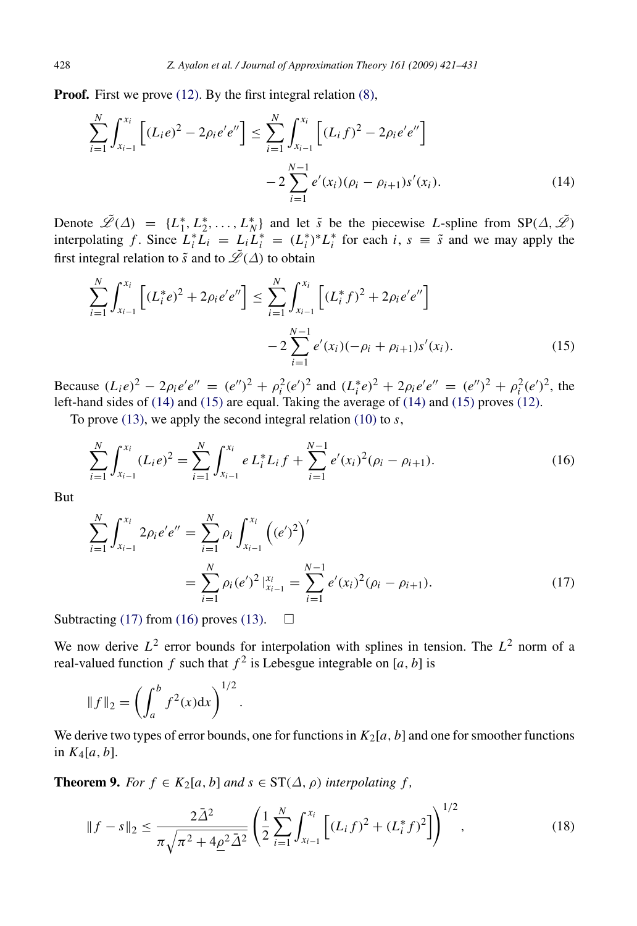Proof. First we prove [\(12\).](#page-6-2) By the first integral relation [\(8\),](#page-4-1)

<span id="page-7-0"></span>
$$
\sum_{i=1}^{N} \int_{x_{i-1}}^{x_i} \left[ (L_i e)^2 - 2\rho_i e' e'' \right] \le \sum_{i=1}^{N} \int_{x_{i-1}}^{x_i} \left[ (L_i f)^2 - 2\rho_i e' e'' \right]
$$

$$
-2 \sum_{i=1}^{N-1} e'(x_i) (\rho_i - \rho_{i+1}) s'(x_i). \tag{14}
$$

Denote  $\tilde{\mathscr{L}}(\Delta) = \{L_1^*, L_2^*, \ldots, L_N^*\}$  and let  $\tilde{s}$  be the piecewise *L*-spline from SP( $\Delta, \tilde{\mathscr{L}}$ ) interpolating *f*. Since  $L_i^* L_i = L_i L_i^* = (L_i^*)^* L_i^*$  for each *i*,  $s \equiv \tilde{s}$  and we may apply the first integral relation to  $\tilde{s}$  and to  $\tilde{\mathscr{L}}(\Delta)$  to obtain

<span id="page-7-1"></span>
$$
\sum_{i=1}^{N} \int_{x_{i-1}}^{x_i} \left[ (L_i^* e)^2 + 2\rho_i e' e'' \right] \le \sum_{i=1}^{N} \int_{x_{i-1}}^{x_i} \left[ (L_i^* f)^2 + 2\rho_i e' e'' \right]
$$

$$
-2 \sum_{i=1}^{N-1} e'(x_i) (-\rho_i + \rho_{i+1}) s'(x_i). \tag{15}
$$

Because  $(L_i e)^2 - 2\rho_i e' e'' = (e'')^2 + \rho_i^2 (e')^2$  and  $(L_i^* e)^2 + 2\rho_i e' e'' = (e'')^2 + \rho_i^2 (e')^2$ , the left-hand sides of [\(14\)](#page-7-0) and [\(15\)](#page-7-1) are equal. Taking the average of [\(14\)](#page-7-0) and [\(15\)](#page-7-1) proves [\(12\).](#page-6-2)

To prove [\(13\),](#page-6-3) we apply the second integral relation [\(10\)](#page-5-1) to *s*,

<span id="page-7-3"></span>
$$
\sum_{i=1}^{N} \int_{x_{i-1}}^{x_i} (L_i e)^2 = \sum_{i=1}^{N} \int_{x_{i-1}}^{x_i} e L_i^* L_i f + \sum_{i=1}^{N-1} e'(x_i)^2 (\rho_i - \rho_{i+1}). \tag{16}
$$

But

<span id="page-7-2"></span>
$$
\sum_{i=1}^{N} \int_{x_{i-1}}^{x_i} 2\rho_i e' e'' = \sum_{i=1}^{N} \rho_i \int_{x_{i-1}}^{x_i} \left( (e')^2 \right)'
$$
  
= 
$$
\sum_{i=1}^{N} \rho_i (e')^2 \Big|_{x_{i-1}}^{x_i} = \sum_{i=1}^{N-1} e'(x_i)^2 (\rho_i - \rho_{i+1}).
$$
 (17)

Subtracting [\(17\)](#page-7-2) from [\(16\)](#page-7-3) proves [\(13\).](#page-6-3)  $\Box$ 

We now derive  $L^2$  error bounds for interpolation with splines in tension. The  $L^2$  norm of a real-valued function  $f$  such that  $f^2$  is Lebesgue integrable on [ $a$ ,  $b$ ] is

$$
||f||_2 = \left(\int_a^b f^2(x) dx\right)^{1/2}.
$$

We derive two types of error bounds, one for functions in  $K_2[a, b]$  and one for smoother functions in  $K_4[a, b]$ .

**Theorem 9.** *For*  $f \in K_2[a, b]$  *and*  $s \in ST(\Delta, \rho)$  *interpolating*  $f$ *,* 

<span id="page-7-5"></span><span id="page-7-4"></span>
$$
||f - s||_2 \le \frac{2\bar{\Delta}^2}{\pi\sqrt{\pi^2 + 4\rho^2 \bar{\Delta}^2}} \left(\frac{1}{2} \sum_{i=1}^N \int_{x_{i-1}}^{x_i} \left[ (L_i f)^2 + (L_i^* f)^2 \right] \right)^{1/2},
$$
\n(18)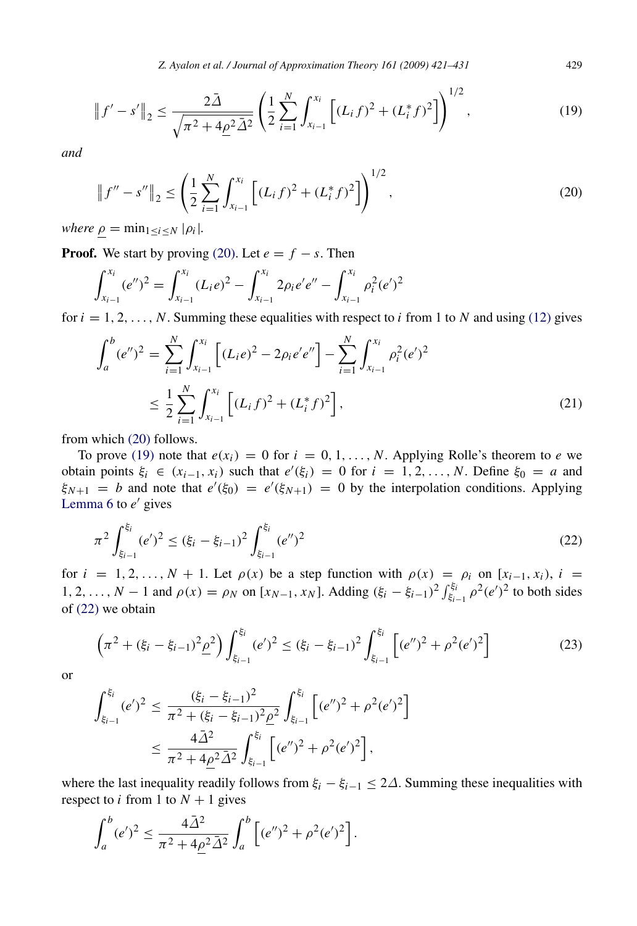*Z. Ayalon et al. / Journal of Approximation Theory 161 (2009) 421–431* 429

$$
\|f'-s'\|_2 \le \frac{2\bar{\Delta}}{\sqrt{\pi^2 + 4\rho^2 \bar{\Delta}^2}} \left(\frac{1}{2} \sum_{i=1}^N \int_{x_{i-1}}^{x_i} \left[ (L_i f)^2 + (L_i^* f)^2 \right] \right)^{1/2},\tag{19}
$$

*and*

$$
\|f'' - s''\|_2 \le \left(\frac{1}{2} \sum_{i=1}^N \int_{x_{i-1}}^{x_i} \left[ (L_i f)^2 + (L_i^* f)^2 \right] \right)^{1/2},\tag{20}
$$

*where*  $\rho$  = min<sub>1≤*i*≤*N*</sub> | $\rho$ *i*|*.* 

**Proof.** We start by proving [\(20\).](#page-8-0) Let  $e = f - s$ . Then

$$
\int_{x_{i-1}}^{x_i} (e'')^2 = \int_{x_{i-1}}^{x_i} (L_i e)^2 - \int_{x_{i-1}}^{x_i} 2\rho_i e' e'' - \int_{x_{i-1}}^{x_i} \rho_i^2 (e')^2
$$

for  $i = 1, 2, \ldots, N$ . Summing these equalities with respect to *i* from 1 to *N* and using [\(12\)](#page-6-2) gives

$$
\int_{a}^{b} (e'')^{2} = \sum_{i=1}^{N} \int_{x_{i-1}}^{x_{i}} \left[ (L_{i}e)^{2} - 2\rho_{i}e'e'' \right] - \sum_{i=1}^{N} \int_{x_{i-1}}^{x_{i}} \rho_{i}^{2}(e')^{2}
$$
\n
$$
\leq \frac{1}{2} \sum_{i=1}^{N} \int_{x_{i-1}}^{x_{i}} \left[ (L_{i}f)^{2} + (L_{i}^{*}f)^{2} \right],
$$
\n(21)

from which [\(20\)](#page-8-0) follows.

To prove [\(19\)](#page-8-1) note that  $e(x_i) = 0$  for  $i = 0, 1, ..., N$ . Applying Rolle's theorem to *e* we obtain points  $\xi_i \in (x_{i-1}, x_i)$  such that  $e'(\xi_i) = 0$  for  $i = 1, 2, ..., N$ . Define  $\xi_0 = a$  and  $\xi_{N+1} = b$  and note that  $e'(\xi_0) = e'(\xi_{N+1}) = 0$  by the interpolation conditions. Applying [Lemma 6](#page-6-1) to  $e'$  gives

$$
\pi^2 \int_{\xi_{i-1}}^{\xi_i} (e')^2 \le (\xi_i - \xi_{i-1})^2 \int_{\xi_{i-1}}^{\xi_i} (e'')^2
$$
\n(22)

for  $i = 1, 2, ..., N + 1$ . Let  $\rho(x)$  be a step function with  $\rho(x) = \rho_i$  on  $[x_{i-1}, x_i)$ ,  $i =$ 1, 2, ...,  $N-1$  and  $\rho(x) = \rho_N$  on  $[x_{N-1}, x_N]$ . Adding  $(\xi_i - \xi_{i-1})^2 \int_{\xi_{i-1}}^{\xi_i} \rho^2(e')^2$  to both sides of [\(22\)](#page-8-2) we obtain

$$
\left(\pi^2 + (\xi_i - \xi_{i-1})^2 \underline{\rho}^2\right) \int_{\xi_{i-1}}^{\xi_i} (e')^2 \le (\xi_i - \xi_{i-1})^2 \int_{\xi_{i-1}}^{\xi_i} \left[ (e'')^2 + \rho^2 (e')^2 \right] \tag{23}
$$

or

$$
\int_{\xi_{i-1}}^{\xi_i} (e')^2 \leq \frac{(\xi_i - \xi_{i-1})^2}{\pi^2 + (\xi_i - \xi_{i-1})^2 \rho^2} \int_{\xi_{i-1}}^{\xi_i} \left[ (e'')^2 + \rho^2 (e')^2 \right] \leq \frac{4\bar{\Delta}^2}{\pi^2 + 4\rho^2 \bar{\Delta}^2} \int_{\xi_{i-1}}^{\xi_i} \left[ (e'')^2 + \rho^2 (e')^2 \right],
$$

where the last inequality readily follows from  $\xi_i - \xi_{i-1} \leq 2\Delta$ . Summing these inequalities with respect to *i* from 1 to  $N + 1$  gives

$$
\int_a^b (e')^2 \le \frac{4\bar{\Delta}^2}{\pi^2 + 4\underline{\rho}^2 \bar{\Delta}^2} \int_a^b \left[ (e'')^2 + \rho^2 (e')^2 \right].
$$

<span id="page-8-3"></span><span id="page-8-2"></span><span id="page-8-1"></span><span id="page-8-0"></span>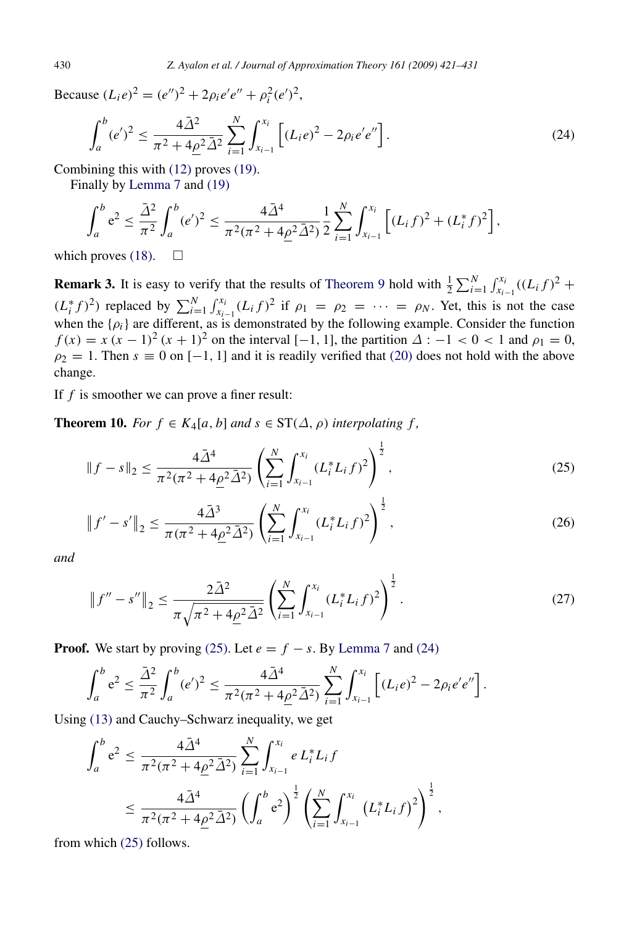430 *Z. Ayalon et al. / Journal of Approximation Theory 161 (2009) 421–431*

Because  $(L_i e)^2 = (e'')^2 + 2\rho_i e' e'' + \rho_i^2 (e')^2$ ,

<span id="page-9-1"></span>
$$
\int_{a}^{b} (e')^{2} \le \frac{4\bar{\Delta}^{2}}{\pi^{2} + 4\underline{\rho}^{2} \bar{\Delta}^{2}} \sum_{i=1}^{N} \int_{x_{i-1}}^{x_{i}} \left[ (L_{i}e)^{2} - 2\rho_{i}e'e'' \right].
$$
\n(24)

Combining this with [\(12\)](#page-6-2) proves [\(19\).](#page-8-1)

Finally by [Lemma 7](#page-6-4) and [\(19\)](#page-8-1)

$$
\int_a^b e^2 \le \frac{\bar{\Delta}^2}{\pi^2} \int_a^b (e')^2 \le \frac{4\bar{\Delta}^4}{\pi^2(\pi^2 + 4\underline{\rho}^2 \bar{\Delta}^2)} \frac{1}{2} \sum_{i=1}^N \int_{x_{i-1}}^{x_i} \left[ (L_i f)^2 + (L_i^* f)^2 \right],
$$

which proves [\(18\).](#page-7-4)  $\square$ 

**Remark 3.** It is easy to verify that the results of [Theorem 9](#page-7-5) hold with  $\frac{1}{2} \sum_{i=1}^{N} \int_{x_{i-1}}^{x_i} ((L_i f)^2 +$  $(L_i^* f)^2$  replaced by  $\sum_{i=1}^N \int_{x_{i-1}}^{x_i} (L_i f)^2$  if  $\rho_1 = \rho_2 = \cdots = \rho_N$ . Yet, this is not the case when the  $\{\rho_i\}$  are different, as is demonstrated by the following example. Consider the function  $f(x) = x (x - 1)^2 (x + 1)^2$  on the interval [−1, 1], the partition  $\Delta : -1 < 0 < 1$  and  $\rho_1 = 0$ ,  $\rho_2 = 1$ . Then  $s \equiv 0$  on [-1, 1] and it is readily verified that [\(20\)](#page-8-0) does not hold with the above change.

If *f* is smoother we can prove a finer result:

**Theorem 10.** *For*  $f \in K_4[a, b]$  *and*  $s \in ST(\Delta, \rho)$  *interpolating*  $f$ ,

<span id="page-9-3"></span><span id="page-9-0"></span>
$$
||f - s||_2 \le \frac{4\bar{\Delta}^4}{\pi^2(\pi^2 + 4\underline{\rho}^2 \bar{\Delta}^2)} \left(\sum_{i=1}^N \int_{x_{i-1}}^{x_i} (L_i^* L_i f)^2\right)^{\frac{1}{2}},
$$
\n(25)

<span id="page-9-2"></span>
$$
\|f'-s'\|_2 \le \frac{4\bar{\Delta}^3}{\pi(\pi^2 + 4\underline{\rho}^2 \bar{\Delta}^2)} \left(\sum_{i=1}^N \int_{x_{i-1}}^{x_i} (L_i^* L_i f)^2\right)^{\frac{1}{2}},\tag{26}
$$

*and*

$$
\|f'' - s''\|_2 \le \frac{2\bar{\Delta}^2}{\pi \sqrt{\pi^2 + 4\rho^2 \bar{\Delta}^2}} \left(\sum_{i=1}^N \int_{x_{i-1}}^{x_i} (L_i^* L_i f)^2\right)^{\frac{1}{2}}.
$$
 (27)

**Proof.** We start by proving [\(25\).](#page-9-0) Let  $e = f - s$ . By [Lemma 7](#page-6-4) and [\(24\)](#page-9-1)

$$
\int_a^b e^2 \leq \frac{\bar{\Delta}^2}{\pi^2} \int_a^b (e')^2 \leq \frac{4\bar{\Delta}^4}{\pi^2(\pi^2 + 4\underline{\rho}^2 \bar{\Delta}^2)} \sum_{i=1}^N \int_{x_{i-1}}^{x_i} \left[ (L_i e)^2 - 2\rho_i e' e'' \right].
$$

Using [\(13\)](#page-6-3) and Cauchy–Schwarz inequality, we get

$$
\int_{a}^{b} e^{2} \leq \frac{4\bar{\Delta}^{4}}{\pi^{2}(\pi^{2}+4\underline{\rho}^{2}\bar{\Delta}^{2})} \sum_{i=1}^{N} \int_{x_{i-1}}^{x_{i}} e L_{i}^{*} L_{i} f
$$
  

$$
\leq \frac{4\bar{\Delta}^{4}}{\pi^{2}(\pi^{2}+4\underline{\rho}^{2}\bar{\Delta}^{2})} \left(\int_{a}^{b} e^{2}\right)^{\frac{1}{2}} \left(\sum_{i=1}^{N} \int_{x_{i-1}}^{x_{i}} \left(L_{i}^{*} L_{i} f\right)^{2}\right)^{\frac{1}{2}},
$$

from which [\(25\)](#page-9-0) follows.